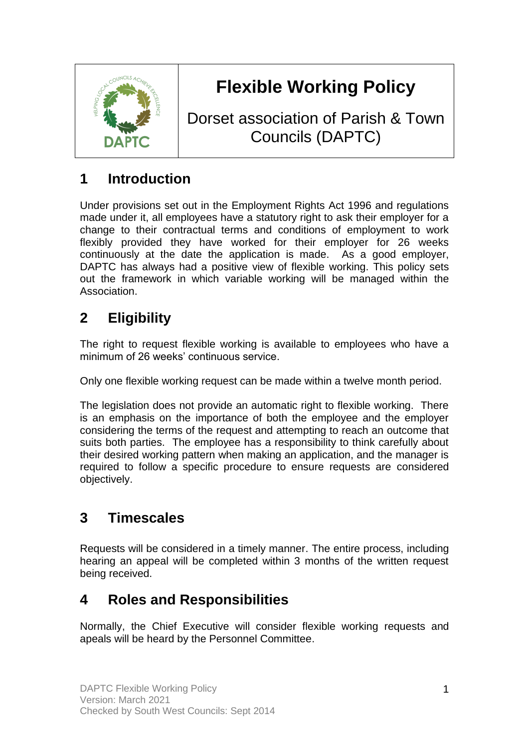

# **Flexible Working Policy**

Dorset association of Parish & Town Councils (DAPTC)

## **1 Introduction**

Under provisions set out in the Employment Rights Act 1996 and regulations made under it, all employees have a statutory right to ask their employer for a change to their contractual terms and conditions of employment to work flexibly provided they have worked for their employer for 26 weeks continuously at the date the application is made. As a good employer, DAPTC has always had a positive view of flexible working. This policy sets out the framework in which variable working will be managed within the Association.

# **2 Eligibility**

The right to request flexible working is available to employees who have a minimum of 26 weeks' continuous service.

Only one flexible working request can be made within a twelve month period.

The legislation does not provide an automatic right to flexible working. There is an emphasis on the importance of both the employee and the employer considering the terms of the request and attempting to reach an outcome that suits both parties. The employee has a responsibility to think carefully about their desired working pattern when making an application, and the manager is required to follow a specific procedure to ensure requests are considered objectively.

# **3 Timescales**

Requests will be considered in a timely manner. The entire process, including hearing an appeal will be completed within 3 months of the written request being received.

#### **4 Roles and Responsibilities**

Normally, the Chief Executive will consider flexible working requests and apeals will be heard by the Personnel Committee.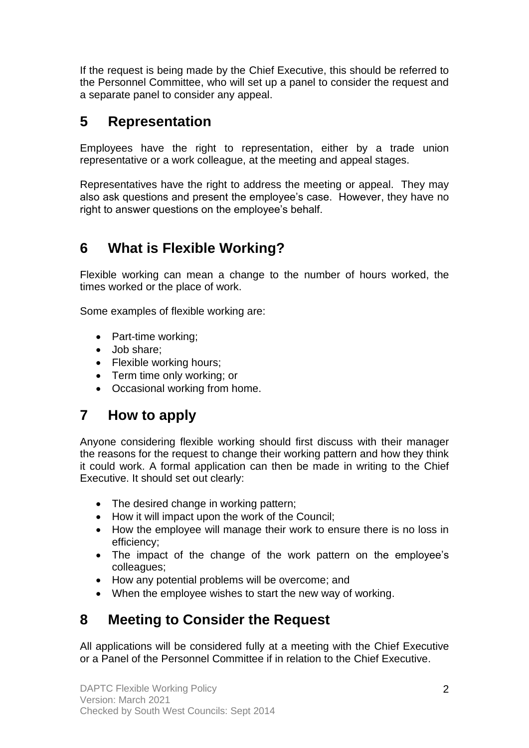If the request is being made by the Chief Executive, this should be referred to the Personnel Committee, who will set up a panel to consider the request and a separate panel to consider any appeal.

#### **5 Representation**

Employees have the right to representation, either by a trade union representative or a work colleague, at the meeting and appeal stages.

Representatives have the right to address the meeting or appeal. They may also ask questions and present the employee's case. However, they have no right to answer questions on the employee's behalf.

## **6 What is Flexible Working?**

Flexible working can mean a change to the number of hours worked, the times worked or the place of work.

Some examples of flexible working are:

- Part-time working;
- Job share;
- Flexible working hours;
- Term time only working; or
- Occasional working from home.

#### **7 How to apply**

Anyone considering flexible working should first discuss with their manager the reasons for the request to change their working pattern and how they think it could work. A formal application can then be made in writing to the Chief Executive. It should set out clearly:

- The desired change in working pattern;
- How it will impact upon the work of the Council;
- How the employee will manage their work to ensure there is no loss in efficiency;
- The impact of the change of the work pattern on the employee's colleagues;
- How any potential problems will be overcome; and
- When the employee wishes to start the new way of working.

# **8 Meeting to Consider the Request**

All applications will be considered fully at a meeting with the Chief Executive or a Panel of the Personnel Committee if in relation to the Chief Executive.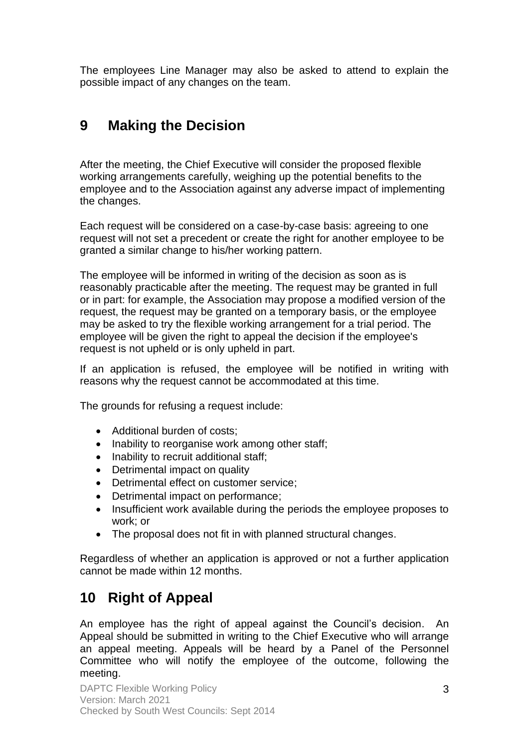The employees Line Manager may also be asked to attend to explain the possible impact of any changes on the team.

### **9 Making the Decision**

After the meeting, the Chief Executive will consider the proposed flexible working arrangements carefully, weighing up the potential benefits to the employee and to the Association against any adverse impact of implementing the changes.

Each request will be considered on a case-by-case basis: agreeing to one request will not set a precedent or create the right for another employee to be granted a similar change to his/her working pattern.

The employee will be informed in writing of the decision as soon as is reasonably practicable after the meeting. The request may be granted in full or in part: for example, the Association may propose a modified version of the request, the request may be granted on a temporary basis, or the employee may be asked to try the flexible working arrangement for a trial period. The employee will be given the right to appeal the decision if the employee's request is not upheld or is only upheld in part.

If an application is refused, the employee will be notified in writing with reasons why the request cannot be accommodated at this time.

The grounds for refusing a request include:

- Additional burden of costs;
- Inability to reorganise work among other staff;
- Inability to recruit additional staff;
- Detrimental impact on quality
- Detrimental effect on customer service;
- Detrimental impact on performance;
- Insufficient work available during the periods the employee proposes to work; or
- The proposal does not fit in with planned structural changes.

Regardless of whether an application is approved or not a further application cannot be made within 12 months.

#### **10 Right of Appeal**

An employee has the right of appeal against the Council's decision. An Appeal should be submitted in writing to the Chief Executive who will arrange an appeal meeting. Appeals will be heard by a Panel of the Personnel Committee who will notify the employee of the outcome, following the meeting.